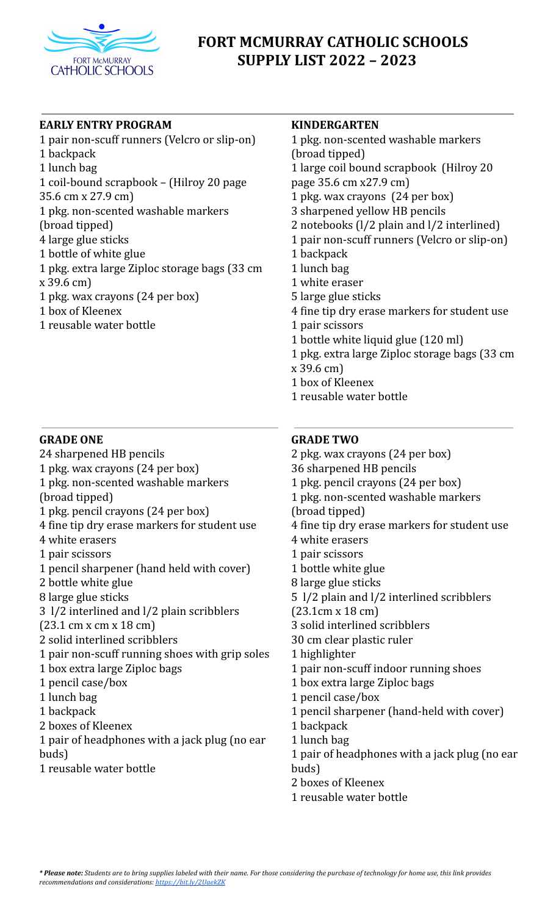

# **FORT MCMURRAY CATHOLIC SCHOOLS SUPPLY LIST 2022 – 2023**

# **EARLY ENTRY PROGRAM**

 pair non-scuff runners (Velcro or slip-on) backpack lunch bag coil-bound scrapbook – (Hilroy 20 page 35.6 cm x 27.9 cm) pkg. non-scented washable markers (broad tipped) large glue sticks bottle of white glue pkg. extra large Ziploc storage bags (33 cm x 39.6 cm) pkg. wax crayons (24 per box) box of Kleenex reusable water bottle

## **GRADE ONE**

- sharpened HB pencils pkg. wax crayons (24 per box) pkg. non-scented washable markers (broad tipped) pkg. pencil crayons (24 per box) fine tip dry erase markers for student use white erasers pair scissors pencil sharpener (hand held with cover) bottle white glue large glue sticks l/2 interlined and l/2 plain scribblers (23.1 cm x cm x 18 cm) solid interlined scribblers pair non-scuff running shoes with grip soles box extra large Ziploc bags pencil case/box lunch bag backpack boxes of Kleenex pair of headphones with a jack plug (no ear buds)
- reusable water bottle

## **KINDERGARTEN**

- pkg. non-scented washable markers (broad tipped) large coil bound scrapbook (Hilroy 20 page 35.6 cm x27.9 cm) pkg. wax crayons (24 per box) sharpened yellow HB pencils notebooks (l/2 plain and l/2 interlined) pair non-scuff runners (Velcro or slip-on) backpack lunch bag white eraser large glue sticks fine tip dry erase markers for student use pair scissors bottle white liquid glue (120 ml)
- pkg. extra large Ziploc storage bags (33 cm
- x 39.6 cm)
- box of Kleenex
- reusable water bottle

## **GRADE TWO**

 pkg. wax crayons (24 per box) sharpened HB pencils pkg. pencil crayons (24 per box) pkg. non-scented washable markers (broad tipped) fine tip dry erase markers for student use white erasers pair scissors bottle white glue large glue sticks l/2 plain and l/2 interlined scribblers (23.1cm x 18 cm) solid interlined scribblers cm clear plastic ruler highlighter pair non-scuff indoor running shoes box extra large Ziploc bags pencil case/box pencil sharpener (hand-held with cover) backpack lunch bag pair of headphones with a jack plug (no ear

- buds) boxes of Kleenex
- reusable water bottle
- \* Please note: Students are to bring supplies labeled with their name. For those considering the purchase of technology for home use, this link provides *recommendations and considerations: <https://bit.ly/2UaekZK>*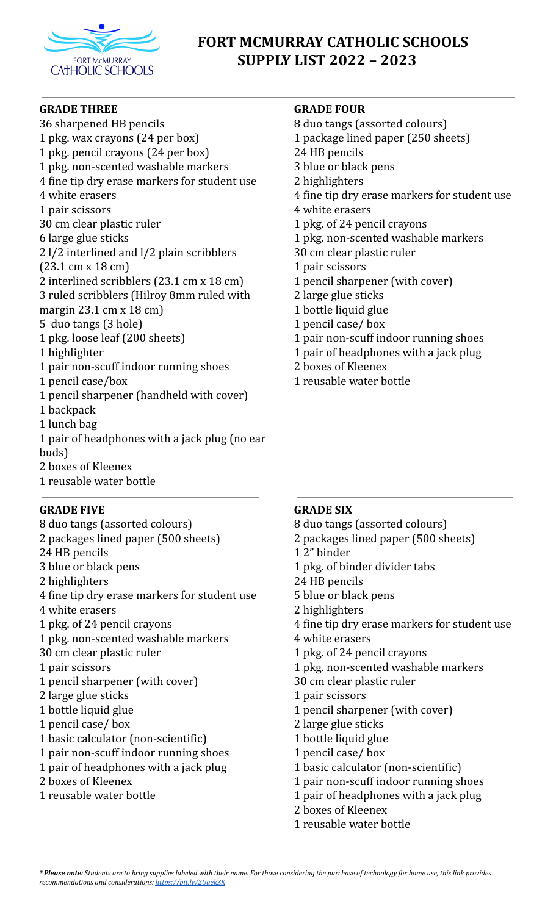

# **FORT MCMURRAY CATHOLIC SCHOOLS SUPPLY LIST 2022 – 2023**

#### **GRADE THREE**

 sharpened HB pencils pkg. wax crayons (24 per box) pkg. pencil crayons (24 per box) pkg. non-scented washable markers fine tip dry erase markers for student use white erasers pair scissors cm clear plastic ruler large glue sticks l/2 interlined and l/2 plain scribblers (23.1 cm x 18 cm) interlined scribblers (23.1 cm x 18 cm) ruled scribblers (Hilroy 8mm ruled with margin 23.1 cm x 18 cm) duo tangs (3 hole) pkg. loose leaf (200 sheets) highlighter pair non-scuff indoor running shoes pencil case/box pencil sharpener (handheld with cover) backpack lunch bag pair of headphones with a jack plug (no ear buds) boxes of Kleenex

reusable water bottle

# **GRADE FIVE**

- duo tangs (assorted colours)
- packages lined paper (500 sheets)
- HB pencils
- blue or black pens
- highlighters
- fine tip dry erase markers for student use
- white erasers
- pkg. of 24 pencil crayons
- pkg. non-scented washable markers
- cm clear plastic ruler
- pair scissors
- pencil sharpener (with cover)
- large glue sticks
- bottle liquid glue
- pencil case/ box
- basic calculator (non-scientific)
- pair non-scuff indoor running shoes
- pair of headphones with a jack plug
- boxes of Kleenex
- reusable water bottle

# **GRADE FOUR**

- duo tangs (assorted colours)
- package lined paper (250 sheets)
- HB pencils
- blue or black pens
- highlighters
- fine tip dry erase markers for student use
- white erasers
- pkg. of 24 pencil crayons
- pkg. non-scented washable markers
- cm clear plastic ruler
- pair scissors
- pencil sharpener (with cover)
- large glue sticks
- bottle liquid glue
- pencil case/ box
- pair non-scuff indoor running shoes
- pair of headphones with a jack plug
- boxes of Kleenex
- reusable water bottle

# **GRADE SIX**

- duo tangs (assorted colours)
- packages lined paper (500 sheets)
- 2" binder
- pkg. of binder divider tabs
- HB pencils
- blue or black pens
- highlighters
- fine tip dry erase markers for student use
- white erasers
- pkg. of 24 pencil crayons
- pkg. non-scented washable markers
- cm clear plastic ruler
- pair scissors
- pencil sharpener (with cover)
- large glue sticks
- bottle liquid glue
- pencil case/ box
- basic calculator (non-scientific)
- pair non-scuff indoor running shoes
- pair of headphones with a jack plug
- boxes of Kleenex
- reusable water bottle